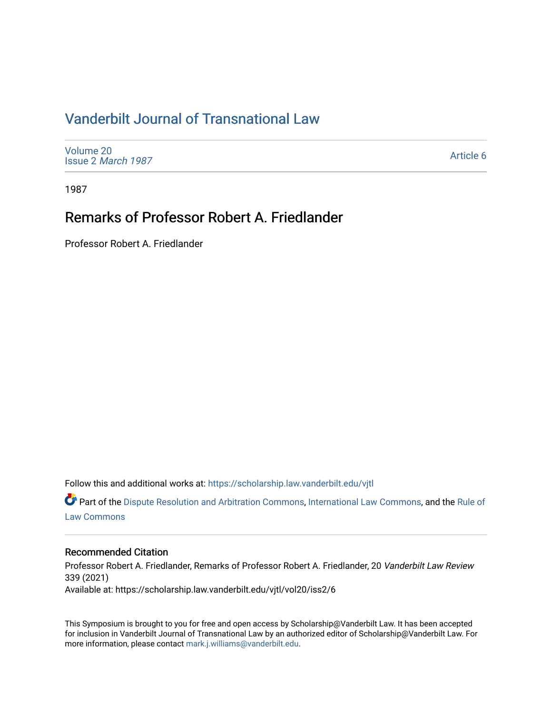## [Vanderbilt Journal of Transnational Law](https://scholarship.law.vanderbilt.edu/vjtl)

[Volume 20](https://scholarship.law.vanderbilt.edu/vjtl/vol20) Issue 2 [March 1987](https://scholarship.law.vanderbilt.edu/vjtl/vol20/iss2)

[Article 6](https://scholarship.law.vanderbilt.edu/vjtl/vol20/iss2/6) 

1987

## Remarks of Professor Robert A. Friedlander

Professor Robert A. Friedlander

Follow this and additional works at: [https://scholarship.law.vanderbilt.edu/vjtl](https://scholarship.law.vanderbilt.edu/vjtl?utm_source=scholarship.law.vanderbilt.edu%2Fvjtl%2Fvol20%2Fiss2%2F6&utm_medium=PDF&utm_campaign=PDFCoverPages) 

Part of the [Dispute Resolution and Arbitration Commons,](http://network.bepress.com/hgg/discipline/890?utm_source=scholarship.law.vanderbilt.edu%2Fvjtl%2Fvol20%2Fiss2%2F6&utm_medium=PDF&utm_campaign=PDFCoverPages) [International Law Commons](http://network.bepress.com/hgg/discipline/609?utm_source=scholarship.law.vanderbilt.edu%2Fvjtl%2Fvol20%2Fiss2%2F6&utm_medium=PDF&utm_campaign=PDFCoverPages), and the [Rule of](http://network.bepress.com/hgg/discipline/1122?utm_source=scholarship.law.vanderbilt.edu%2Fvjtl%2Fvol20%2Fiss2%2F6&utm_medium=PDF&utm_campaign=PDFCoverPages) [Law Commons](http://network.bepress.com/hgg/discipline/1122?utm_source=scholarship.law.vanderbilt.edu%2Fvjtl%2Fvol20%2Fiss2%2F6&utm_medium=PDF&utm_campaign=PDFCoverPages) 

## Recommended Citation

Professor Robert A. Friedlander, Remarks of Professor Robert A. Friedlander, 20 Vanderbilt Law Review 339 (2021) Available at: https://scholarship.law.vanderbilt.edu/vjtl/vol20/iss2/6

This Symposium is brought to you for free and open access by Scholarship@Vanderbilt Law. It has been accepted for inclusion in Vanderbilt Journal of Transnational Law by an authorized editor of Scholarship@Vanderbilt Law. For more information, please contact [mark.j.williams@vanderbilt.edu](mailto:mark.j.williams@vanderbilt.edu).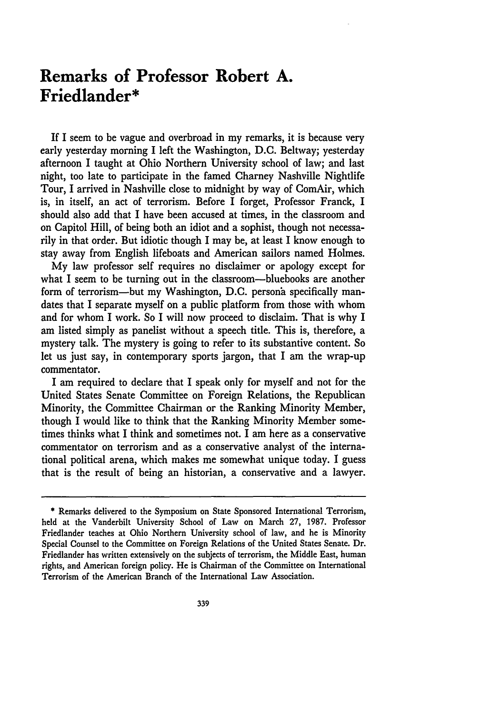## **Remarks of Professor Robert A. Friedlander\***

If I seem to **be** vague and overbroad in my remarks, it is because very early yesterday morning I left the Washington, **D.C.** Beltway; yesterday afternoon I taught at Ohio Northern University school of law; and last night, too late to participate in the famed Charney Nashville Nightlife Tour, I arrived in Nashville close to midnight **by** way of ComAir, which is, in itself, an act of terrorism. Before I forget, Professor Franck, I should also add that I have been accused at times, in the classroom and on Capitol Hill, of being both an idiot and a sophist, though not necessarily in that order. But idiotic though I may be, at least I know enough to stay away from English lifeboats and American sailors named Holmes.

**My** law professor self requires no disclaimer or apology except for what I seem to be turning out in the classroom--bluebooks are another form of terrorism—but my Washington, D.C. persona specifically mandates that I separate myself on a public platform from those with whom and for whom I work. So I will now proceed to disclaim. That is why I am listed simply as panelist without a speech title. This is, therefore, a mystery talk. The mystery is going to refer to its substantive content. So let us just say, in contemporary sports jargon, that I am the wrap-up commentator.

I am required to declare that I speak only for myself and not for the United States Senate Committee on Foreign Relations, the Republican Minority, the Committee Chairman or the Ranking Minority Member, though I would like to think that the Ranking Minority Member sometimes thinks what I think and sometimes not. I am here as a conservative commentator on terrorism and as a conservative analyst of the international political arena, which makes me somewhat unique today. I guess that is the result of being an historian, a conservative and a lawyer.

**<sup>\*</sup>** Remarks delivered to the Symposium on State Sponsored International Terrorism, **held** at the Vanderbilt University School of Law on March **27, 1987.** Professor Friedlander teaches at Ohio Northern University school of law, and he is Minority Special Counsel to the Committee on Foreign Relations of the United States Senate. Dr. Friedlander has written extensively on the subjects of terrorism, the Middle East, human rights, and American foreign policy. He is Chairman of the Committee on International Terrorism of the American Branch of the International Law Association.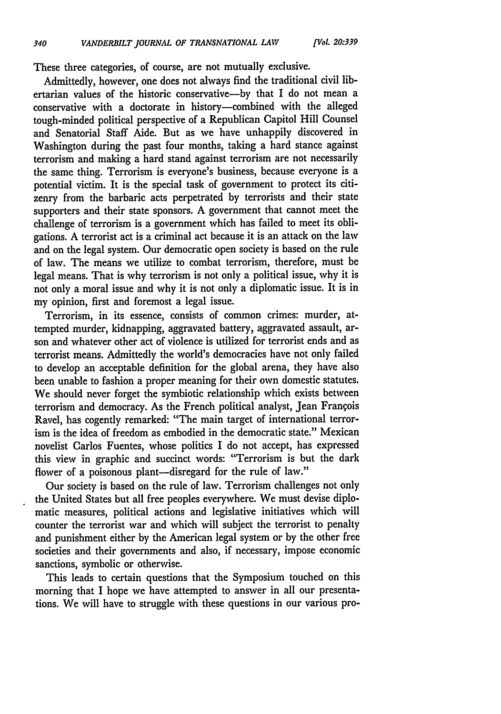These three categories, of course, are not mutually exclusive.

Admittedly, however, one does not always find the traditional civil libertarian values of the historic conservative-by that I do not mean a conservative with a doctorate in history-combined with the alleged tough-minded political perspective of a Republican Capitol Hill Counsel and Senatorial Staff Aide. But as we have unhappily discovered in Washington during the past four months, taking a hard stance against terrorism and making a hard stand against terrorism are not necessarily the same thing. Terrorism is everyone's business, because everyone is a potential victim. It is the special task of government to protect its citizenry from the barbaric acts perpetrated by terrorists and their state supporters and their state sponsors. A government that cannot meet the challenge of terrorism is a government which has failed to meet its obligations. A terrorist act is a criminal act because it is an attack on the law and on the legal system. Our democratic open society is based on the rule of law. The means we utilize to combat terrorism, therefore, must be legal means. That is why terrorism is not only a political issue, why it is not only a moral issue and why it is not only a diplomatic issue. It is in my opinion, first and foremost a legal issue.

Terrorism, in its essence, consists of common crimes: murder, attempted murder, kidnapping, aggravated battery, aggravated assault, arson and whatever other act of violence is utilized for terrorist ends and as terrorist means. Admittedly the world's democracies have not only failed to develop an acceptable definition for the global arena, they have also been unable to fashion a proper meaning for their own domestic statutes. We should never forget the symbiotic relationship which exists between terrorism and democracy. As the French political analyst, Jean Frangois Ravel, has cogently remarked: "The main target of international terrorism is the idea of freedom as embodied in the democratic state." Mexican novelist Carlos Fuentes, whose politics I do not accept, has expressed this view in graphic and succinct words: "Terrorism is but the dark flower of a poisonous plant--disregard for the rule of law."

Our society is based on the rule of law. Terrorism challenges not only the United States but all free peoples everywhere. We must devise diplomatic measures, political actions and legislative initiatives which will counter the terrorist war and which will subject the terrorist to penalty and punishment either by the American legal system or by the other free societies and their governments and also, if necessary, impose economic sanctions, symbolic or otherwise.

This leads to certain questions that the Symposium touched on this morning that I hope we have attempted to answer in all our presentations. We will have to struggle with these questions in our various pro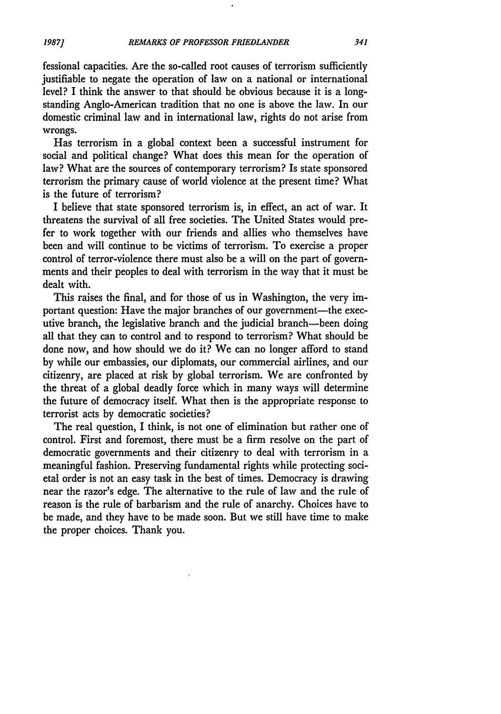fessional capacities. Are the so-called root causes of terrorism sufficiently justifiable to negate the operation of law on a national or international level? I think the answer to that should be obvious because it is a longstanding Anglo-American tradition that no one is above the law. In our domestic criminal law and in international law, rights do not arise from wrongs.

Has terrorism in a global context been a successful instrument for social and political change? What does this mean for the operation of law? What are the sources of contemporary terrorism? Is state sponsored terrorism the primary cause of world violence at the present time? What is the future of terrorism?

I believe that state sponsored terrorism is, in effect, an act of war. It threatens the survival of all free societies. The United States would prefer to work together with our friends and allies who themselves have been and will continue to be victims of terrorism. To exercise a proper control of terror-violence there must also be a will on the part of governments and their peoples to deal with terrorism in the way that it must be dealt with.

This raises the final, and for those of us in Washington, the very important question: Have the major branches of our government-the executive branch, the legislative branch and the judicial branch-been doing all that they can to control and to respond to terrorism? What should be done now, and how should we do it? We can no longer afford to stand by while our embassies, our diplomats, our commercial airlines, and our citizenry, are placed at risk by global terrorism. We are confronted by the threat of a global deadly force which in many ways will determine the future of democracy itself. What then is the appropriate response to terrorist acts by democratic societies?

The real question, I think, is not one of elimination but rather one of control. First and foremost, there must be a firm resolve on the part of democratic governments and their citizenry to deal with terrorism in a meaningful fashion. Preserving fundamental rights while protecting societal order is not an easy task in the best of times. Democracy is drawing near the razor's edge. The alternative to the rule of law and the rule of reason is the rule of barbarism and the rule of anarchy. Choices have to be made, and they have to be made soon. But we still have time to make the proper choices. Thank you.